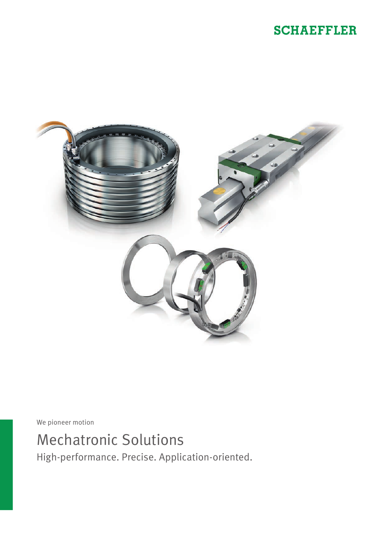# **SCHAEFFLER**



We pioneer motion

# Mechatronic Solutions

High-performance. Precise. Application-oriented.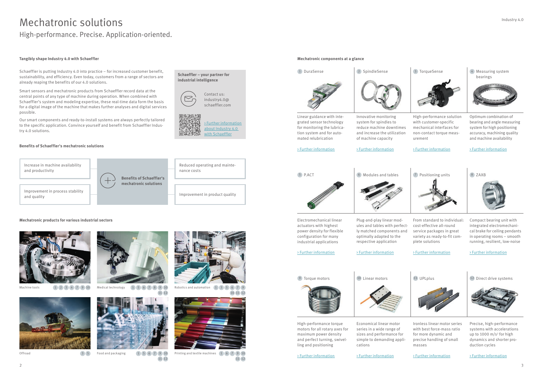# Mechatronic solutions

High-performance. Precise. Application-oriented.

# **Mechatronic components at a glance**

**Schaeffler – your partner for industrial intelligence**

 $\overline{\triangleright}$ 

Contact us: [industry4.0@](mailto:industry4.0%40schaeffler.com?subject=Request%20for%20information) [schaeffler.com](mailto:industry4.0%40schaeffler.com?subject=Request%20for%20information)

## **Benefits of Schaeffler's mechatronic solutions**

# **Tangibly shape Industry 4.0 with Schaeffler**

bearings

High-performance solution with customer-specific mechanical interfaces for non-contact torque measurement

## Optimum combination of bearing and angle measuring system for high positioning accuracy, machining quality and machine availability

From standard to individual: cost-effective all-round service packages in great variety as ready-to-fit complete solutions

8 ZAXB



Compact bearing unit with integrated electromechanical brake for ceiling pendants in operating rooms – smooth running, resilient, low-noise

# 11 UPLplus



Schaeffler is putting Industry 4.0 into practice – for increased customer benefit, sustainability, and efficiency. Even today, customers from a range of sectors are already reaping the benefits of our 4.0 solutions.

Machine tools  $(1)(2)(3)(4)(7)(9)(10)$  Medical technology  $(1)(5)(6)(7)(8)(9)(10)$  Robotics and automation 1 2 3 4 7 9 10 11 12



Robotics and automation  $\begin{pmatrix} 1 & 3 & 5 & 6 & 7 & 9 \end{pmatrix}$ 10 11 12



Offroad  $(3)(5)$  Food and packaging  $(1)(5)(6)(7)(9)(10)$  Printing and textile machines  $(1)(6)(7)(9)(10)$ 11 12



Smart sensors and mechatronic products from Schaeffler record data at the central points of any type of machine during operation. When combined with Schaeffler's system and modeling expertise, these real-time data form the basis for a digital image of the machine that makes further analyses and digital services possible.

Our smart components and ready-to-install systems are always perfectly tailored to the specific application. Convince yourself and benefit from Schaeffler Industry 4.0 solutions.



[> Further information](https://www.schaeffler.de/content.schaeffler.de/en/products-and-solutions/industrial/industry-4.0/index.jsp)  [about Industry 4.0](https://www.schaeffler.de/content.schaeffler.de/en/products-and-solutions/industrial/industry-4.0/index.jsp)  [with Schaeffler](https://www.schaeffler.de/content.schaeffler.de/en/products-and-solutions/industrial/industry-4.0/index.jsp)

> Ironless linear motor series with best force-mass ratio for more dynamic and precise handling of small masses



Precise, high-performance systems with accelerations up to 1000  $m/s<sup>2</sup>$  for high dynamics and shorter production cycles

### **Mechatronic products for various industrial sectors**





3 5



1 5 6 7 9 10 11 12